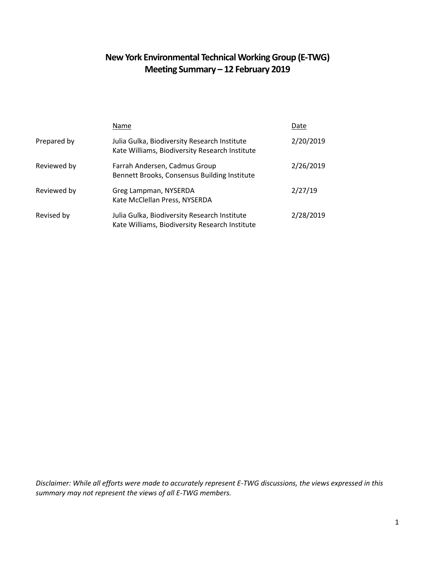# **New York Environmental Technical Working Group (E-TWG) Meeting Summary – 12 February 2019**

|             | Name                                                                                           | Date      |
|-------------|------------------------------------------------------------------------------------------------|-----------|
| Prepared by | Julia Gulka, Biodiversity Research Institute<br>Kate Williams, Biodiversity Research Institute | 2/20/2019 |
| Reviewed by | Farrah Andersen, Cadmus Group<br>Bennett Brooks, Consensus Building Institute                  | 2/26/2019 |
| Reviewed by | Greg Lampman, NYSERDA<br>Kate McClellan Press, NYSERDA                                         | 2/27/19   |
| Revised by  | Julia Gulka, Biodiversity Research Institute<br>Kate Williams, Biodiversity Research Institute | 2/28/2019 |

*Disclaimer: While all efforts were made to accurately represent E-TWG discussions, the views expressed in this summary may not represent the views of all E-TWG members.*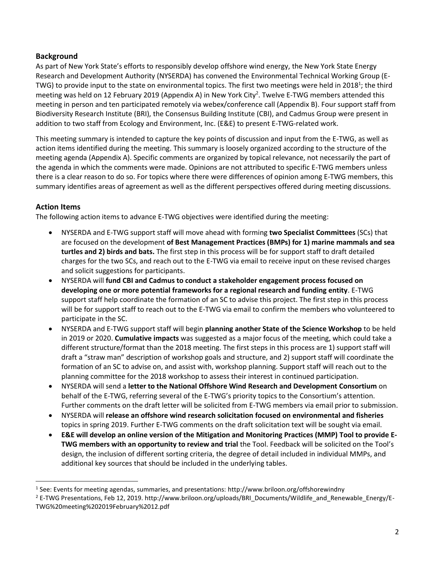#### **Background**

As part of New York State's efforts to responsibly develop offshore wind energy, the New York State Energy Research and Development Authority (NYSERDA) has convened the Environmental Technical Working Group (E-TWG) to provide input to the state on environmental topics. The first two meetings were held in 2018<sup>1</sup>; the third meeting was held on 12 February 2019 (Appendix A) in New York City<sup>2</sup>. Twelve E-TWG members attended this meeting in person and ten participated remotely via webex/conference call (Appendix B). Four support staff from Biodiversity Research Institute (BRI), the Consensus Building Institute (CBI), and Cadmus Group were present in addition to two staff from Ecology and Environment, Inc. (E&E) to present E-TWG-related work.

This meeting summary is intended to capture the key points of discussion and input from the E-TWG, as well as action items identified during the meeting. This summary is loosely organized according to the structure of the meeting agenda (Appendix A). Specific comments are organized by topical relevance, not necessarily the part of the agenda in which the comments were made. Opinions are not attributed to specific E-TWG members unless there is a clear reason to do so. For topics where there were differences of opinion among E-TWG members, this summary identifies areas of agreement as well as the different perspectives offered during meeting discussions.

#### **Action Items**

 $\ddot{\phantom{a}}$ 

The following action items to advance E-TWG objectives were identified during the meeting:

- NYSERDA and E-TWG support staff will move ahead with forming **two Specialist Committees** (SCs) that are focused on the development **of Best Management Practices (BMPs) for 1) marine mammals and sea turtles and 2) birds and bats.** The first step in this process will be for support staff to draft detailed charges for the two SCs, and reach out to the E-TWG via email to receive input on these revised charges and solicit suggestions for participants.
- NYSERDA will **fund CBI and Cadmus to conduct a stakeholder engagement process focused on developing one or more potential frameworks for a regional research and funding entity**. E-TWG support staff help coordinate the formation of an SC to advise this project. The first step in this process will be for support staff to reach out to the E-TWG via email to confirm the members who volunteered to participate in the SC.
- NYSERDA and E-TWG support staff will begin **planning another State of the Science Workshop** to be held in 2019 or 2020. **Cumulative impacts** was suggested as a major focus of the meeting, which could take a different structure/format than the 2018 meeting. The first steps in this process are 1) support staff will draft a "straw man" description of workshop goals and structure, and 2) support staff will coordinate the formation of an SC to advise on, and assist with, workshop planning. Support staff will reach out to the planning committee for the 2018 workshop to assess their interest in continued participation.
- NYSERDA will send a **letter to the National Offshore Wind Research and Development Consortium** on behalf of the E-TWG, referring several of the E-TWG's priority topics to the Consortium's attention. Further comments on the draft letter will be solicited from E-TWG members via email prior to submission.
- NYSERDA will **release an offshore wind research solicitation focused on environmental and fisheries** topics in spring 2019. Further E-TWG comments on the draft solicitation text will be sought via email.
- **E&E will develop an online version of the Mitigation and Monitoring Practices (MMP) Tool to provide E-TWG members with an opportunity to review and trial** the Tool. Feedback will be solicited on the Tool's design, the inclusion of different sorting criteria, the degree of detail included in individual MMPs, and additional key sources that should be included in the underlying tables.

<sup>1</sup> See: Events for meeting agendas, summaries, and presentations: http://www.briloon.org/offshorewindny

<sup>&</sup>lt;sup>2</sup> E-TWG Presentations, Feb 12, 2019. http://www.briloon.org/uploads/BRI\_Documents/Wildlife\_and\_Renewable\_Energy/E-TWG%20meeting%202019February%2012.pdf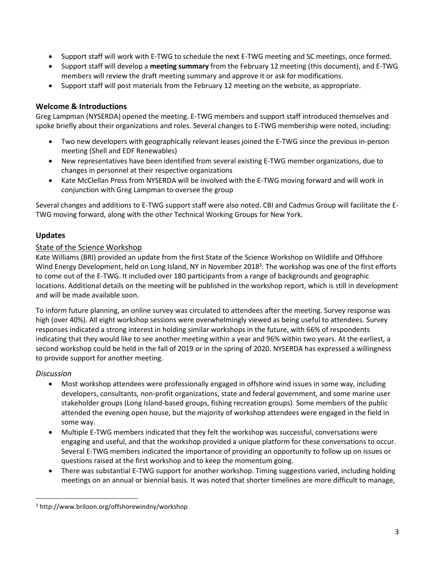- Support staff will work with E-TWG to schedule the next E-TWG meeting and SC meetings, once formed.
- Support staff will develop a **meeting summary** from the February 12 meeting (this document), and E-TWG members will review the draft meeting summary and approve it or ask for modifications.
- Support staff will post materials from the February 12 meeting on the website, as appropriate.

#### **Welcome & Introductions**

Greg Lampman (NYSERDA) opened the meeting. E-TWG members and support staff introduced themselves and spoke briefly about their organizations and roles. Several changes to E-TWG membership were noted, including:

- Two new developers with geographically relevant leases joined the E-TWG since the previous in-person meeting (Shell and EDF Renewables)
- New representatives have been identified from several existing E-TWG member organizations, due to changes in personnel at their respective organizations
- Kate McClellan Press from NYSERDA will be involved with the E-TWG moving forward and will work in conjunction with Greg Lampman to oversee the group

Several changes and additions to E-TWG support staff were also noted. CBI and Cadmus Group will facilitate the E-TWG moving forward, along with the other Technical Working Groups for New York.

#### **Updates**

#### State of the Science Workshop

Kate Williams (BRI) provided an update from the first State of the Science Workshop on Wildlife and Offshore Wind Energy Development, held on Long Island, NY in November 2018<sup>3</sup>. The workshop was one of the first efforts to come out of the E-TWG. It included over 180 participants from a range of backgrounds and geographic locations. Additional details on the meeting will be published in the workshop report, which is still in development and will be made available soon.

To inform future planning, an online survey was circulated to attendees after the meeting. Survey response was high (over 40%). All eight workshop sessions were overwhelmingly viewed as being useful to attendees. Survey responses indicated a strong interest in holding similar workshops in the future, with 66% of respondents indicating that they would like to see another meeting within a year and 96% within two years. At the earliest, a second workshop could be held in the fall of 2019 or in the spring of 2020. NYSERDA has expressed a willingness to provide support for another meeting.

#### *Discussion*

 $\overline{a}$ 

- Most workshop attendees were professionally engaged in offshore wind issues in some way, including developers, consultants, non-profit organizations, state and federal government, and some marine user stakeholder groups (Long Island-based groups, fishing recreation groups). Some members of the public attended the evening open house, but the majority of workshop attendees were engaged in the field in some way.
- Multiple E-TWG members indicated that they felt the workshop was successful, conversations were engaging and useful, and that the workshop provided a unique platform for these conversations to occur. Several E-TWG members indicated the importance of providing an opportunity to follow up on issues or questions raised at the first workshop and to keep the momentum going.
- There was substantial E-TWG support for another workshop. Timing suggestions varied, including holding meetings on an annual or biennial basis. It was noted that shorter timelines are more difficult to manage,

<sup>3</sup> http://www.briloon.org/offshorewindny/workshop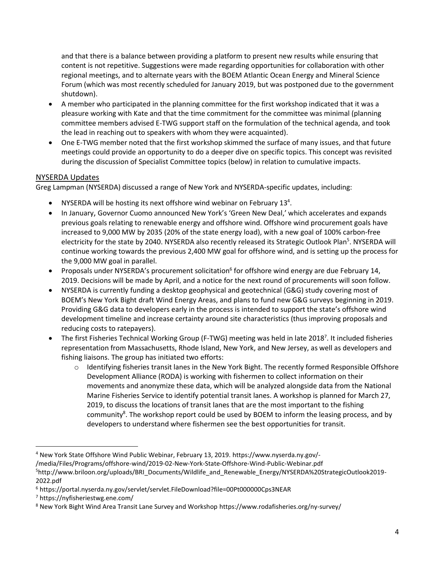and that there is a balance between providing a platform to present new results while ensuring that content is not repetitive. Suggestions were made regarding opportunities for collaboration with other regional meetings, and to alternate years with the BOEM Atlantic Ocean Energy and Mineral Science Forum (which was most recently scheduled for January 2019, but was postponed due to the government shutdown).

- A member who participated in the planning committee for the first workshop indicated that it was a pleasure working with Kate and that the time commitment for the committee was minimal (planning committee members advised E-TWG support staff on the formulation of the technical agenda, and took the lead in reaching out to speakers with whom they were acquainted).
- One E-TWG member noted that the first workshop skimmed the surface of many issues, and that future meetings could provide an opportunity to do a deeper dive on specific topics. This concept was revisited during the discussion of Specialist Committee topics (below) in relation to cumulative impacts.

#### NYSERDA Updates

Greg Lampman (NYSERDA) discussed a range of New York and NYSERDA-specific updates, including:

- NYSERDA will be hosting its next offshore wind webinar on February  $13^4$ .
- In January, Governor Cuomo announced New York's 'Green New Deal,' which accelerates and expands previous goals relating to renewable energy and offshore wind. Offshore wind procurement goals have increased to 9,000 MW by 2035 (20% of the state energy load), with a new goal of 100% carbon-free electricity for the state by 2040. NYSERDA also recently released its Strategic Outlook Plan<sup>5</sup>. NYSERDA will continue working towards the previous 2,400 MW goal for offshore wind, and is setting up the process for the 9,000 MW goal in parallel.
- Proposals under NYSERDA's procurement solicitation<sup>6</sup> for offshore wind energy are due February 14, 2019. Decisions will be made by April, and a notice for the next round of procurements will soon follow.
- NYSERDA is currently funding a desktop geophysical and geotechnical (G&G) study covering most of BOEM's New York Bight draft Wind Energy Areas, and plans to fund new G&G surveys beginning in 2019. Providing G&G data to developers early in the process is intended to support the state's offshore wind development timeline and increase certainty around site characteristics (thus improving proposals and reducing costs to ratepayers).
- The first Fisheries Technical Working Group (F-TWG) meeting was held in late 2018<sup>7</sup>. It included fisheries representation from Massachusetts, Rhode Island, New York, and New Jersey, as well as developers and fishing liaisons. The group has initiated two efforts:
	- o Identifying fisheries transit lanes in the New York Bight. The recently formed Responsible Offshore Development Alliance (RODA) is working with fishermen to collect information on their movements and anonymize these data, which will be analyzed alongside data from the National Marine Fisheries Service to identify potential transit lanes. A workshop is planned for March 27, 2019, to discuss the locations of transit lanes that are the most important to the fishing community<sup>8</sup>. The workshop report could be used by BOEM to inform the leasing process, and by developers to understand where fishermen see the best opportunities for transit.

/media/Files/Programs/offshore-wind/2019-02-New-York-State-Offshore-Wind-Public-Webinar.pdf

<sup>7</sup> https://nyfisheriestwg.ene.com/

 $\overline{a}$ 

<sup>4</sup> New York State Offshore Wind Public Webinar, February 13, 2019. https://www.nyserda.ny.gov/-

<sup>&</sup>lt;sup>5</sup>http://www.briloon.org/uploads/BRI\_Documents/Wildlife\_and\_Renewable\_Energy/NYSERDA%20StrategicOutlook2019-2022.pdf

<sup>6</sup> https://portal.nyserda.ny.gov/servlet/servlet.FileDownload?file=00Pt000000Cps3NEAR

<sup>8</sup> New York Bight Wind Area Transit Lane Survey and Workshop https://www.rodafisheries.org/ny-survey/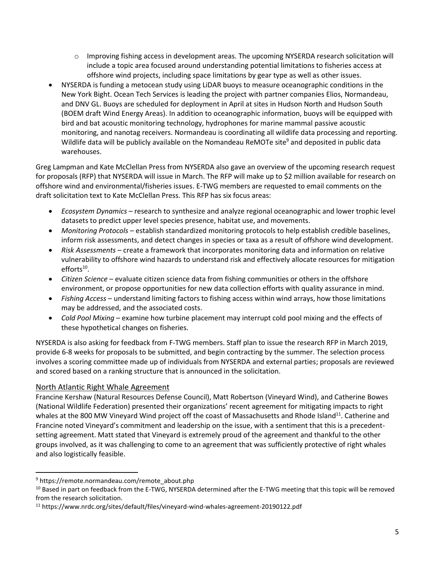- $\circ$  Improving fishing access in development areas. The upcoming NYSERDA research solicitation will include a topic area focused around understanding potential limitations to fisheries access at offshore wind projects, including space limitations by gear type as well as other issues.
- NYSERDA is funding a metocean study using LiDAR buoys to measure oceanographic conditions in the New York Bight. Ocean Tech Services is leading the project with partner companies Elios, Normandeau, and DNV GL. Buoys are scheduled for deployment in April at sites in Hudson North and Hudson South (BOEM draft Wind Energy Areas). In addition to oceanographic information, buoys will be equipped with bird and bat acoustic monitoring technology, hydrophones for marine mammal passive acoustic monitoring, and nanotag receivers. Normandeau is coordinating all wildlife data processing and reporting. Wildlife data will be publicly available on the Nomandeau ReMOTe site<sup>9</sup> and deposited in public data warehouses.

Greg Lampman and Kate McClellan Press from NYSERDA also gave an overview of the upcoming research request for proposals (RFP) that NYSERDA will issue in March. The RFP will make up to \$2 million available for research on offshore wind and environmental/fisheries issues. E-TWG members are requested to email comments on the draft solicitation text to Kate McClellan Press. This RFP has six focus areas:

- *Ecosystem Dynamics –* research to synthesize and analyze regional oceanographic and lower trophic level datasets to predict upper level species presence, habitat use, and movements.
- *Monitoring Protocols* establish standardized monitoring protocols to help establish credible baselines, inform risk assessments, and detect changes in species or taxa as a result of offshore wind development.
- *Risk Assessments* create a framework that incorporates monitoring data and information on relative vulnerability to offshore wind hazards to understand risk and effectively allocate resources for mitigation efforts<sup>10</sup>.
- *Citizen Science* evaluate citizen science data from fishing communities or others in the offshore environment, or propose opportunities for new data collection efforts with quality assurance in mind.
- *Fishing Access* understand limiting factors to fishing access within wind arrays, how those limitations may be addressed, and the associated costs.
- *Cold Pool Mixing* examine how turbine placement may interrupt cold pool mixing and the effects of these hypothetical changes on fisheries.

NYSERDA is also asking for feedback from F-TWG members. Staff plan to issue the research RFP in March 2019, provide 6-8 weeks for proposals to be submitted, and begin contracting by the summer. The selection process involves a scoring committee made up of individuals from NYSERDA and external parties; proposals are reviewed and scored based on a ranking structure that is announced in the solicitation.

# North Atlantic Right Whale Agreement

Francine Kershaw (Natural Resources Defense Council), Matt Robertson (Vineyard Wind), and Catherine Bowes (National Wildlife Federation) presented their organizations' recent agreement for mitigating impacts to right whales at the 800 MW Vineyard Wind project off the coast of Massachusetts and Rhode Island<sup>11</sup>. Catherine and Francine noted Vineyard's commitment and leadership on the issue, with a sentiment that this is a precedentsetting agreement. Matt stated that Vineyard is extremely proud of the agreement and thankful to the other groups involved, as it was challenging to come to an agreement that was sufficiently protective of right whales and also logistically feasible.

 $\overline{a}$ 

<sup>&</sup>lt;sup>9</sup> https://remote.normandeau.com/remote\_about.php

<sup>&</sup>lt;sup>10</sup> Based in part on feedback from the E-TWG, NYSERDA determined after the E-TWG meeting that this topic will be removed from the research solicitation.

<sup>11</sup> https://www.nrdc.org/sites/default/files/vineyard-wind-whales-agreement-20190122.pdf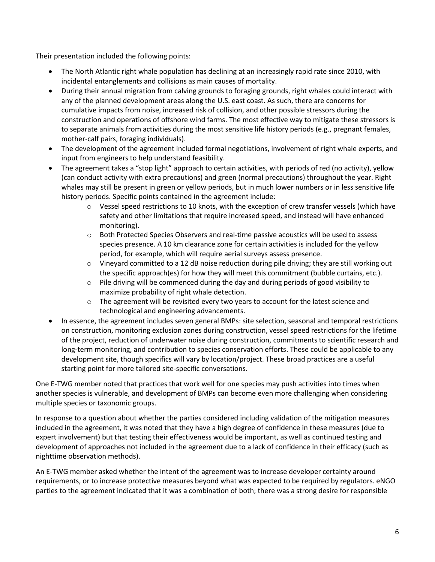Their presentation included the following points:

- The North Atlantic right whale population has declining at an increasingly rapid rate since 2010, with incidental entanglements and collisions as main causes of mortality.
- During their annual migration from calving grounds to foraging grounds, right whales could interact with any of the planned development areas along the U.S. east coast. As such, there are concerns for cumulative impacts from noise, increased risk of collision, and other possible stressors during the construction and operations of offshore wind farms. The most effective way to mitigate these stressors is to separate animals from activities during the most sensitive life history periods (e.g., pregnant females, mother-calf pairs, foraging individuals).
- The development of the agreement included formal negotiations, involvement of right whale experts, and input from engineers to help understand feasibility.
- The agreement takes a "stop light" approach to certain activities, with periods of red (no activity), yellow (can conduct activity with extra precautions) and green (normal precautions) throughout the year. Right whales may still be present in green or yellow periods, but in much lower numbers or in less sensitive life history periods. Specific points contained in the agreement include:
	- $\circ$  Vessel speed restrictions to 10 knots, with the exception of crew transfer vessels (which have safety and other limitations that require increased speed, and instead will have enhanced monitoring).
	- o Both Protected Species Observers and real-time passive acoustics will be used to assess species presence. A 10 km clearance zone for certain activities is included for the yellow period, for example, which will require aerial surveys assess presence.
	- $\circ$  Vineyard committed to a 12 dB noise reduction during pile driving; they are still working out the specific approach(es) for how they will meet this commitment (bubble curtains, etc.).
	- $\circ$  Pile driving will be commenced during the day and during periods of good visibility to maximize probability of right whale detection.
	- $\circ$  The agreement will be revisited every two years to account for the latest science and technological and engineering advancements.
- In essence, the agreement includes seven general BMPs: site selection, seasonal and temporal restrictions on construction, monitoring exclusion zones during construction, vessel speed restrictions for the lifetime of the project, reduction of underwater noise during construction, commitments to scientific research and long-term monitoring, and contribution to species conservation efforts. These could be applicable to any development site, though specifics will vary by location/project. These broad practices are a useful starting point for more tailored site-specific conversations.

One E-TWG member noted that practices that work well for one species may push activities into times when another species is vulnerable, and development of BMPs can become even more challenging when considering multiple species or taxonomic groups.

In response to a question about whether the parties considered including validation of the mitigation measures included in the agreement, it was noted that they have a high degree of confidence in these measures (due to expert involvement) but that testing their effectiveness would be important, as well as continued testing and development of approaches not included in the agreement due to a lack of confidence in their efficacy (such as nighttime observation methods).

An E-TWG member asked whether the intent of the agreement was to increase developer certainty around requirements, or to increase protective measures beyond what was expected to be required by regulators. eNGO parties to the agreement indicated that it was a combination of both; there was a strong desire for responsible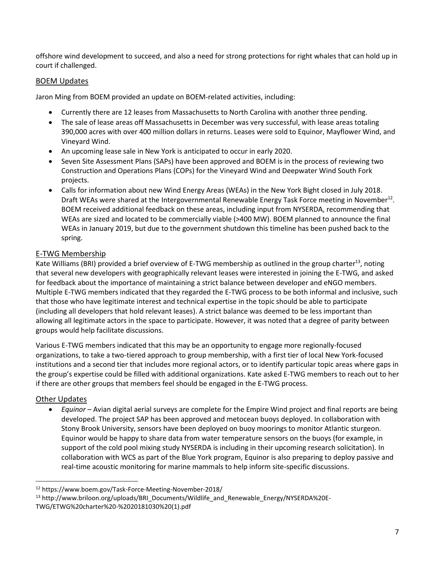offshore wind development to succeed, and also a need for strong protections for right whales that can hold up in court if challenged.

#### BOEM Updates

Jaron Ming from BOEM provided an update on BOEM-related activities, including:

- Currently there are 12 leases from Massachusetts to North Carolina with another three pending.
- The sale of lease areas off Massachusetts in December was very successful, with lease areas totaling 390,000 acres with over 400 million dollars in returns. Leases were sold to Equinor, Mayflower Wind, and Vineyard Wind.
- An upcoming lease sale in New York is anticipated to occur in early 2020.
- Seven Site Assessment Plans (SAPs) have been approved and BOEM is in the process of reviewing two Construction and Operations Plans (COPs) for the Vineyard Wind and Deepwater Wind South Fork projects.
- Calls for information about new Wind Energy Areas (WEAs) in the New York Bight closed in July 2018. Draft WEAs were shared at the Intergovernmental Renewable Energy Task Force meeting in November<sup>12</sup>. BOEM received additional feedback on these areas, including input from NYSERDA, recommending that WEAs are sized and located to be commercially viable (>400 MW). BOEM planned to announce the final WEAs in January 2019, but due to the government shutdown this timeline has been pushed back to the spring.

#### E-TWG Membership

Kate Williams (BRI) provided a brief overview of E-TWG membership as outlined in the group charter<sup>13</sup>, noting that several new developers with geographically relevant leases were interested in joining the E-TWG, and asked for feedback about the importance of maintaining a strict balance between developer and eNGO members. Multiple E-TWG members indicated that they regarded the E-TWG process to be both informal and inclusive, such that those who have legitimate interest and technical expertise in the topic should be able to participate (including all developers that hold relevant leases). A strict balance was deemed to be less important than allowing all legitimate actors in the space to participate. However, it was noted that a degree of parity between groups would help facilitate discussions.

Various E-TWG members indicated that this may be an opportunity to engage more regionally-focused organizations, to take a two-tiered approach to group membership, with a first tier of local New York-focused institutions and a second tier that includes more regional actors, or to identify particular topic areas where gaps in the group's expertise could be filled with additional organizations. Kate asked E-TWG members to reach out to her if there are other groups that members feel should be engaged in the E-TWG process.

#### Other Updates

 $\ddot{\phantom{a}}$ 

 *Equinor* – Avian digital aerial surveys are complete for the Empire Wind project and final reports are being developed. The project SAP has been approved and metocean buoys deployed. In collaboration with Stony Brook University, sensors have been deployed on buoy moorings to monitor Atlantic sturgeon. Equinor would be happy to share data from water temperature sensors on the buoys (for example, in support of the cold pool mixing study NYSERDA is including in their upcoming research solicitation). In collaboration with WCS as part of the Blue York program, Equinor is also preparing to deploy passive and real-time acoustic monitoring for marine mammals to help inform site-specific discussions.

<sup>12</sup> https://www.boem.gov/Task-Force-Meeting-November-2018/

<sup>&</sup>lt;sup>13</sup> http://www.briloon.org/uploads/BRI\_Documents/Wildlife\_and\_Renewable\_Energy/NYSERDA%20E-TWG/ETWG%20charter%20-%2020181030%20(1).pdf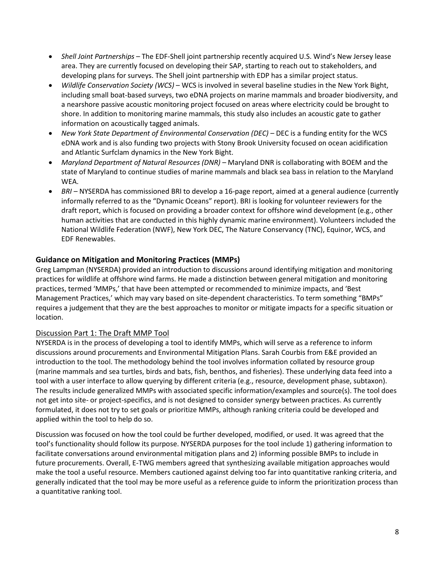- *Shell Joint Partnerships* The EDF-Shell joint partnership recently acquired U.S. Wind's New Jersey lease area. They are currently focused on developing their SAP, starting to reach out to stakeholders, and developing plans for surveys. The Shell joint partnership with EDP has a similar project status.
- *Wildlife Conservation Society (WCS)* WCS is involved in several baseline studies in the New York Bight, including small boat-based surveys, two eDNA projects on marine mammals and broader biodiversity, and a nearshore passive acoustic monitoring project focused on areas where electricity could be brought to shore. In addition to monitoring marine mammals, this study also includes an acoustic gate to gather information on acoustically tagged animals.
- *New York State Department of Environmental Conservation (DEC)* DEC is a funding entity for the WCS eDNA work and is also funding two projects with Stony Brook University focused on ocean acidification and Atlantic Surfclam dynamics in the New York Bight.
- *Maryland Department of Natural Resources (DNR)* Maryland DNR is collaborating with BOEM and the state of Maryland to continue studies of marine mammals and black sea bass in relation to the Maryland WEA.
- *BRI –* NYSERDA has commissioned BRI to develop a 16-page report, aimed at a general audience (currently informally referred to as the "Dynamic Oceans" report). BRI is looking for volunteer reviewers for the draft report, which is focused on providing a broader context for offshore wind development (e.g., other human activities that are conducted in this highly dynamic marine environment). Volunteers included the National Wildlife Federation (NWF), New York DEC, The Nature Conservancy (TNC), Equinor, WCS, and EDF Renewables.

# **Guidance on Mitigation and Monitoring Practices (MMPs)**

Greg Lampman (NYSERDA) provided an introduction to discussions around identifying mitigation and monitoring practices for wildlife at offshore wind farms. He made a distinction between general mitigation and monitoring practices, termed 'MMPs,' that have been attempted or recommended to minimize impacts, and 'Best Management Practices,' which may vary based on site-dependent characteristics. To term something "BMPs" requires a judgement that they are the best approaches to monitor or mitigate impacts for a specific situation or location.

# Discussion Part 1: The Draft MMP Tool

NYSERDA is in the process of developing a tool to identify MMPs, which will serve as a reference to inform discussions around procurements and Environmental Mitigation Plans. Sarah Courbis from E&E provided an introduction to the tool. The methodology behind the tool involves information collated by resource group (marine mammals and sea turtles, birds and bats, fish, benthos, and fisheries). These underlying data feed into a tool with a user interface to allow querying by different criteria (e.g., resource, development phase, subtaxon). The results include generalized MMPs with associated specific information/examples and source(s). The tool does not get into site- or project-specifics, and is not designed to consider synergy between practices. As currently formulated, it does not try to set goals or prioritize MMPs, although ranking criteria could be developed and applied within the tool to help do so.

Discussion was focused on how the tool could be further developed, modified, or used. It was agreed that the tool's functionality should follow its purpose. NYSERDA purposes for the tool include 1) gathering information to facilitate conversations around environmental mitigation plans and 2) informing possible BMPs to include in future procurements. Overall, E-TWG members agreed that synthesizing available mitigation approaches would make the tool a useful resource. Members cautioned against delving too far into quantitative ranking criteria, and generally indicated that the tool may be more useful as a reference guide to inform the prioritization process than a quantitative ranking tool.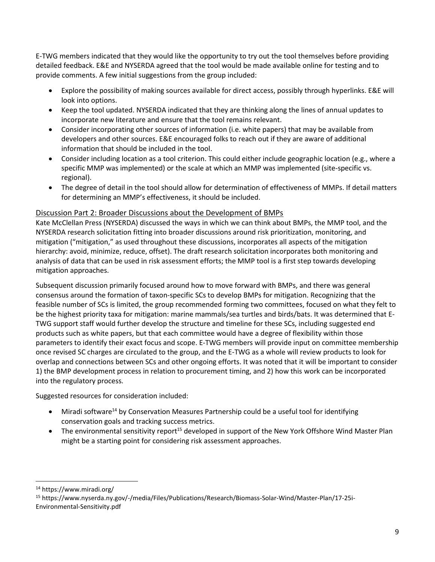E-TWG members indicated that they would like the opportunity to try out the tool themselves before providing detailed feedback. E&E and NYSERDA agreed that the tool would be made available online for testing and to provide comments. A few initial suggestions from the group included:

- Explore the possibility of making sources available for direct access, possibly through hyperlinks. E&E will look into options.
- Keep the tool updated. NYSERDA indicated that they are thinking along the lines of annual updates to incorporate new literature and ensure that the tool remains relevant.
- Consider incorporating other sources of information (i.e. white papers) that may be available from developers and other sources. E&E encouraged folks to reach out if they are aware of additional information that should be included in the tool.
- Consider including location as a tool criterion. This could either include geographic location (e.g., where a specific MMP was implemented) or the scale at which an MMP was implemented (site-specific vs. regional).
- The degree of detail in the tool should allow for determination of effectiveness of MMPs. If detail matters for determining an MMP's effectiveness, it should be included.

# Discussion Part 2: Broader Discussions about the Development of BMPs

Kate McClellan Press (NYSERDA) discussed the ways in which we can think about BMPs, the MMP tool, and the NYSERDA research solicitation fitting into broader discussions around risk prioritization, monitoring, and mitigation ("mitigation," as used throughout these discussions, incorporates all aspects of the mitigation hierarchy: avoid, minimize, reduce, offset). The draft research solicitation incorporates both monitoring and analysis of data that can be used in risk assessment efforts; the MMP tool is a first step towards developing mitigation approaches.

Subsequent discussion primarily focused around how to move forward with BMPs, and there was general consensus around the formation of taxon-specific SCs to develop BMPs for mitigation. Recognizing that the feasible number of SCs is limited, the group recommended forming two committees, focused on what they felt to be the highest priority taxa for mitigation: marine mammals/sea turtles and birds/bats. It was determined that E-TWG support staff would further develop the structure and timeline for these SCs, including suggested end products such as white papers, but that each committee would have a degree of flexibility within those parameters to identify their exact focus and scope. E-TWG members will provide input on committee membership once revised SC charges are circulated to the group, and the E-TWG as a whole will review products to look for overlap and connections between SCs and other ongoing efforts. It was noted that it will be important to consider 1) the BMP development process in relation to procurement timing, and 2) how this work can be incorporated into the regulatory process.

Suggested resources for consideration included:

- Miradi software<sup>14</sup> by Conservation Measures Partnership could be a useful tool for identifying conservation goals and tracking success metrics.
- The environmental sensitivity report<sup>15</sup> developed in support of the New York Offshore Wind Master Plan might be a starting point for considering risk assessment approaches.

 $\ddot{\phantom{a}}$ 

<sup>14</sup> https://www.miradi.org/

<sup>15</sup> https://www.nyserda.ny.gov/-/media/Files/Publications/Research/Biomass-Solar-Wind/Master-Plan/17-25i-Environmental-Sensitivity.pdf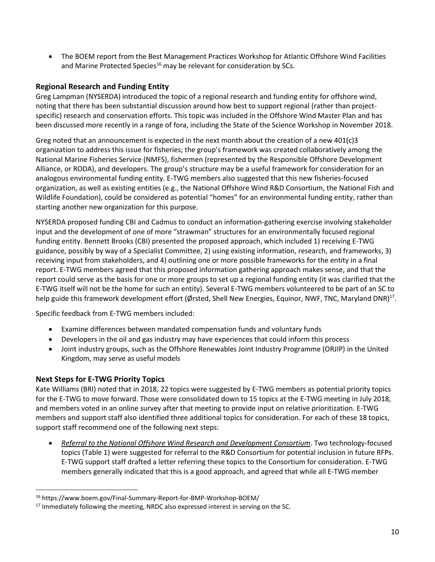The BOEM report from the Best Management Practices Workshop for Atlantic Offshore Wind Facilities and Marine Protected Species<sup>16</sup> may be relevant for consideration by SCs.

# **Regional Research and Funding Entity**

Greg Lampman (NYSERDA) introduced the topic of a regional research and funding entity for offshore wind, noting that there has been substantial discussion around how best to support regional (rather than projectspecific) research and conservation efforts. This topic was included in the Offshore Wind Master Plan and has been discussed more recently in a range of fora, including the State of the Science Workshop in November 2018.

Greg noted that an announcement is expected in the next month about the creation of a new  $401(c)3$ organization to address this issue for fisheries; the group's framework was created collaboratively among the National Marine Fisheries Service (NMFS), fishermen (represented by the Responsible Offshore Development Alliance, or RODA), and developers. The group's structure may be a useful framework for consideration for an analogous environmental funding entity. E-TWG members also suggested that this new fisheries-focused organization, as well as existing entities (e.g., the National Offshore Wind R&D Consortium, the National Fish and Wildlife Foundation), could be considered as potential "homes" for an environmental funding entity, rather than starting another new organization for this purpose.

NYSERDA proposed funding CBI and Cadmus to conduct an information-gathering exercise involving stakeholder input and the development of one of more "strawman" structures for an environmentally focused regional funding entity. Bennett Brooks (CBI) presented the proposed approach, which included 1) receiving E-TWG guidance, possibly by way of a Specialist Committee, 2) using existing information, research, and frameworks, 3) receiving input from stakeholders, and 4) outlining one or more possible frameworks for the entity in a final report. E-TWG members agreed that this proposed information gathering approach makes sense, and that the report could serve as the basis for one or more groups to set up a regional funding entity (it was clarified that the E-TWG itself will not be the home for such an entity). Several E-TWG members volunteered to be part of an SC to help guide this framework development effort (Ørsted, Shell New Energies, Equinor, NWF, TNC, Maryland DNR)<sup>17</sup>.

Specific feedback from E-TWG members included:

- Examine differences between mandated compensation funds and voluntary funds
- Developers in the oil and gas industry may have experiences that could inform this process
- Joint industry groups, such as the Offshore Renewables Joint Industry Programme (ORJIP) in the United Kingdom, may serve as useful models

# **Next Steps for E-TWG Priority Topics**

 $\overline{a}$ 

Kate Williams (BRI) noted that in 2018, 22 topics were suggested by E-TWG members as potential priority topics for the E-TWG to move forward. Those were consolidated down to 15 topics at the E-TWG meeting in July 2018, and members voted in an online survey after that meeting to provide input on relative prioritization. E-TWG members and support staff also identified three additional topics for consideration. For each of these 18 topics, support staff recommend one of the following next steps:

 *Referral to the National Offshore Wind Research and Development Consortium*. Two technology-focused topics (Table 1) were suggested for referral to the R&D Consortium for potential inclusion in future RFPs. E-TWG support staff drafted a letter referring these topics to the Consortium for consideration. E-TWG members generally indicated that this is a good approach, and agreed that while all E-TWG member

<sup>16</sup> https://www.boem.gov/Final-Summary-Report-for-BMP-Workshop-BOEM/

<sup>&</sup>lt;sup>17</sup> Immediately following the meeting, NRDC also expressed interest in serving on the SC.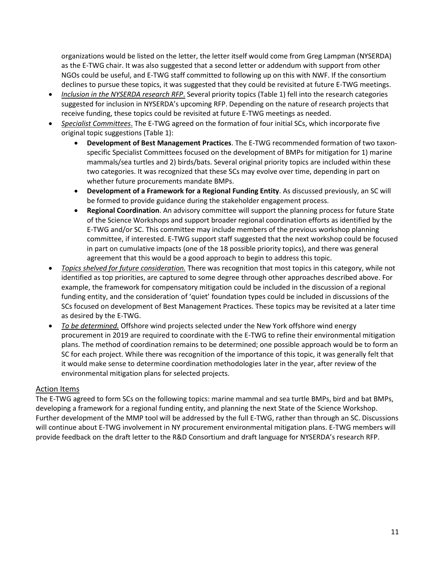organizations would be listed on the letter, the letter itself would come from Greg Lampman (NYSERDA) as the E-TWG chair. It was also suggested that a second letter or addendum with support from other NGOs could be useful, and E-TWG staff committed to following up on this with NWF. If the consortium declines to pursue these topics, it was suggested that they could be revisited at future E-TWG meetings.

- *Inclusion in the NYSERDA research RFP*. Several priority topics (Table 1) fell into the research categories suggested for inclusion in NYSERDA's upcoming RFP. Depending on the nature of research projects that receive funding, these topics could be revisited at future E-TWG meetings as needed.
- *Specialist Committees*. The E-TWG agreed on the formation of four initial SCs, which incorporate five original topic suggestions (Table 1):
	- **Development of Best Management Practices**. The E-TWG recommended formation of two taxonspecific Specialist Committees focused on the development of BMPs for mitigation for 1) marine mammals/sea turtles and 2) birds/bats. Several original priority topics are included within these two categories. It was recognized that these SCs may evolve over time, depending in part on whether future procurements mandate BMPs.
	- **Development of a Framework for a Regional Funding Entity**. As discussed previously, an SC will be formed to provide guidance during the stakeholder engagement process.
	- **Regional Coordination**. An advisory committee will support the planning process for future State of the Science Workshops and support broader regional coordination efforts as identified by the E-TWG and/or SC. This committee may include members of the previous workshop planning committee, if interested. E-TWG support staff suggested that the next workshop could be focused in part on cumulative impacts (one of the 18 possible priority topics), and there was general agreement that this would be a good approach to begin to address this topic.
- *Topics shelved for future consideration.* There was recognition that most topics in this category, while not identified as top priorities, are captured to some degree through other approaches described above. For example, the framework for compensatory mitigation could be included in the discussion of a regional funding entity, and the consideration of 'quiet' foundation types could be included in discussions of the SCs focused on development of Best Management Practices. These topics may be revisited at a later time as desired by the E-TWG.
- *To be determined.* Offshore wind projects selected under the New York offshore wind energy procurement in 2019 are required to coordinate with the E-TWG to refine their environmental mitigation plans. The method of coordination remains to be determined; one possible approach would be to form an SC for each project. While there was recognition of the importance of this topic, it was generally felt that it would make sense to determine coordination methodologies later in the year, after review of the environmental mitigation plans for selected projects.

#### Action Items

The E-TWG agreed to form SCs on the following topics: marine mammal and sea turtle BMPs, bird and bat BMPs, developing a framework for a regional funding entity, and planning the next State of the Science Workshop. Further development of the MMP tool will be addressed by the full E-TWG, rather than through an SC. Discussions will continue about E-TWG involvement in NY procurement environmental mitigation plans. E-TWG members will provide feedback on the draft letter to the R&D Consortium and draft language for NYSERDA's research RFP.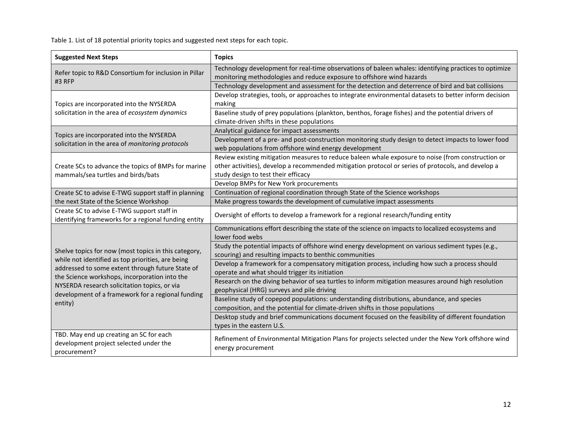Table 1. List of 18 potential priority topics and suggested next steps for each topic.

| <b>Suggested Next Steps</b>                                                                               | <b>Topics</b>                                                                                          |  |  |
|-----------------------------------------------------------------------------------------------------------|--------------------------------------------------------------------------------------------------------|--|--|
|                                                                                                           | Technology development for real-time observations of baleen whales: identifying practices to optimize  |  |  |
| Refer topic to R&D Consortium for inclusion in Pillar<br>#3 RFP                                           | monitoring methodologies and reduce exposure to offshore wind hazards                                  |  |  |
|                                                                                                           | Technology development and assessment for the detection and deterrence of bird and bat collisions      |  |  |
|                                                                                                           | Develop strategies, tools, or approaches to integrate environmental datasets to better inform decision |  |  |
| Topics are incorporated into the NYSERDA                                                                  | making                                                                                                 |  |  |
| solicitation in the area of ecosystem dynamics                                                            | Baseline study of prey populations (plankton, benthos, forage fishes) and the potential drivers of     |  |  |
|                                                                                                           | climate-driven shifts in these populations                                                             |  |  |
| Topics are incorporated into the NYSERDA                                                                  | Analytical guidance for impact assessments                                                             |  |  |
| solicitation in the area of monitoring protocols                                                          | Development of a pre- and post-construction monitoring study design to detect impacts to lower food    |  |  |
|                                                                                                           | web populations from offshore wind energy development                                                  |  |  |
|                                                                                                           | Review existing mitigation measures to reduce baleen whale exposure to noise (from construction or     |  |  |
| Create SCs to advance the topics of BMPs for marine                                                       | other activities), develop a recommended mitigation protocol or series of protocols, and develop a     |  |  |
| mammals/sea turtles and birds/bats                                                                        | study design to test their efficacy                                                                    |  |  |
|                                                                                                           | Develop BMPs for New York procurements                                                                 |  |  |
| Create SC to advise E-TWG support staff in planning                                                       | Continuation of regional coordination through State of the Science workshops                           |  |  |
| the next State of the Science Workshop                                                                    | Make progress towards the development of cumulative impact assessments                                 |  |  |
| Create SC to advise E-TWG support staff in<br>identifying frameworks for a regional funding entity        | Oversight of efforts to develop a framework for a regional research/funding entity                     |  |  |
|                                                                                                           | Communications effort describing the state of the science on impacts to localized ecosystems and       |  |  |
|                                                                                                           | lower food webs                                                                                        |  |  |
|                                                                                                           | Study the potential impacts of offshore wind energy development on various sediment types (e.g.,       |  |  |
| Shelve topics for now (most topics in this category,<br>while not identified as top priorities, are being | scouring) and resulting impacts to benthic communities                                                 |  |  |
| addressed to some extent through future State of                                                          | Develop a framework for a compensatory mitigation process, including how such a process should         |  |  |
| the Science workshops, incorporation into the                                                             | operate and what should trigger its initiation                                                         |  |  |
| NYSERDA research solicitation topics, or via                                                              | Research on the diving behavior of sea turtles to inform mitigation measures around high resolution    |  |  |
| development of a framework for a regional funding                                                         | geophysical (HRG) surveys and pile driving                                                             |  |  |
| entity)                                                                                                   | Baseline study of copepod populations: understanding distributions, abundance, and species             |  |  |
|                                                                                                           | composition, and the potential for climate-driven shifts in those populations                          |  |  |
|                                                                                                           | Desktop study and brief communications document focused on the feasibility of different foundation     |  |  |
|                                                                                                           | types in the eastern U.S.                                                                              |  |  |
| TBD. May end up creating an SC for each                                                                   | Refinement of Environmental Mitigation Plans for projects selected under the New York offshore wind    |  |  |
| development project selected under the                                                                    | energy procurement                                                                                     |  |  |
| procurement?                                                                                              |                                                                                                        |  |  |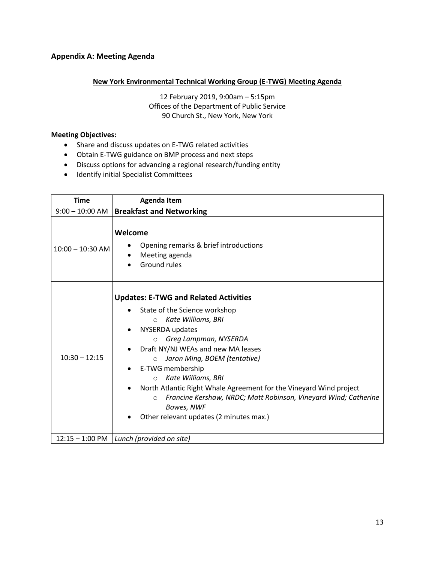# **Appendix A: Meeting Agenda**

#### **New York Environmental Technical Working Group (E-TWG) Meeting Agenda**

12 February 2019, 9:00am – 5:15pm Offices of the Department of Public Service 90 Church St., New York, New York

#### **Meeting Objectives:**

- Share and discuss updates on E-TWG related activities
- Obtain E-TWG guidance on BMP process and next steps
- Discuss options for advancing a regional research/funding entity
- **•** Identify initial Specialist Committees

| <b>Time</b>        | <b>Agenda Item</b>                                                                                                                                                                                                                                                                                                                                                                                                                                                                                                       |  |  |
|--------------------|--------------------------------------------------------------------------------------------------------------------------------------------------------------------------------------------------------------------------------------------------------------------------------------------------------------------------------------------------------------------------------------------------------------------------------------------------------------------------------------------------------------------------|--|--|
| $9:00 - 10:00$ AM  | <b>Breakfast and Networking</b>                                                                                                                                                                                                                                                                                                                                                                                                                                                                                          |  |  |
| $10:00 - 10:30$ AM | Welcome<br>Opening remarks & brief introductions<br>Meeting agenda<br>Ground rules                                                                                                                                                                                                                                                                                                                                                                                                                                       |  |  |
| $10:30 - 12:15$    | <b>Updates: E-TWG and Related Activities</b><br>State of the Science workshop<br>Kate Williams, BRI<br>$\circ$<br>NYSERDA updates<br>Greg Lampman, NYSERDA<br>$\circ$<br>Draft NY/NJ WEAs and new MA leases<br>Jaron Ming, BOEM (tentative)<br>$\circ$<br>E-TWG membership<br>Kate Williams, BRI<br>$\circ$<br>North Atlantic Right Whale Agreement for the Vineyard Wind project<br>Francine Kershaw, NRDC; Matt Robinson, Vineyard Wind; Catherine<br>$\circ$<br>Bowes, NWF<br>Other relevant updates (2 minutes max.) |  |  |
|                    | $12:15 - 1:00 \text{ PM}$ Lunch (provided on site)                                                                                                                                                                                                                                                                                                                                                                                                                                                                       |  |  |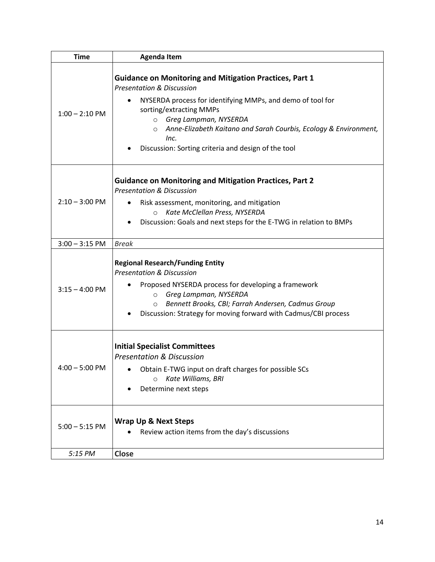| <b>Time</b>              | <b>Agenda Item</b>                                                                                                                                                                                                                                                                                                                                                                |
|--------------------------|-----------------------------------------------------------------------------------------------------------------------------------------------------------------------------------------------------------------------------------------------------------------------------------------------------------------------------------------------------------------------------------|
| $1:00 - 2:10$ PM         | <b>Guidance on Monitoring and Mitigation Practices, Part 1</b><br><b>Presentation &amp; Discussion</b><br>NYSERDA process for identifying MMPs, and demo of tool for<br>sorting/extracting MMPs<br>Greg Lampman, NYSERDA<br>$\circ$<br>Anne-Elizabeth Kaitano and Sarah Courbis, Ecology & Environment,<br>$\circ$<br>Inc.<br>Discussion: Sorting criteria and design of the tool |
| $2:10 - 3:00 \text{ PM}$ | <b>Guidance on Monitoring and Mitigation Practices, Part 2</b><br><b>Presentation &amp; Discussion</b><br>Risk assessment, monitoring, and mitigation<br>Kate McClellan Press, NYSERDA<br>$\circ$<br>Discussion: Goals and next steps for the E-TWG in relation to BMPs                                                                                                           |
| $3:00 - 3:15$ PM         | <b>Break</b>                                                                                                                                                                                                                                                                                                                                                                      |
| $3:15 - 4:00$ PM         | <b>Regional Research/Funding Entity</b><br><b>Presentation &amp; Discussion</b><br>Proposed NYSERDA process for developing a framework<br>Greg Lampman, NYSERDA<br>$\circ$<br>Bennett Brooks, CBI; Farrah Andersen, Cadmus Group<br>$\circ$<br>Discussion: Strategy for moving forward with Cadmus/CBI process                                                                    |
| $4:00 - 5:00$ PM         | <b>Initial Specialist Committees</b><br><b>Presentation &amp; Discussion</b><br>Obtain E-TWG input on draft charges for possible SCs<br>Kate Williams, BRI<br>$\circ$<br>Determine next steps                                                                                                                                                                                     |
| $5:00 - 5:15$ PM         | <b>Wrap Up &amp; Next Steps</b><br>Review action items from the day's discussions                                                                                                                                                                                                                                                                                                 |
| 5:15 PM                  | Close                                                                                                                                                                                                                                                                                                                                                                             |